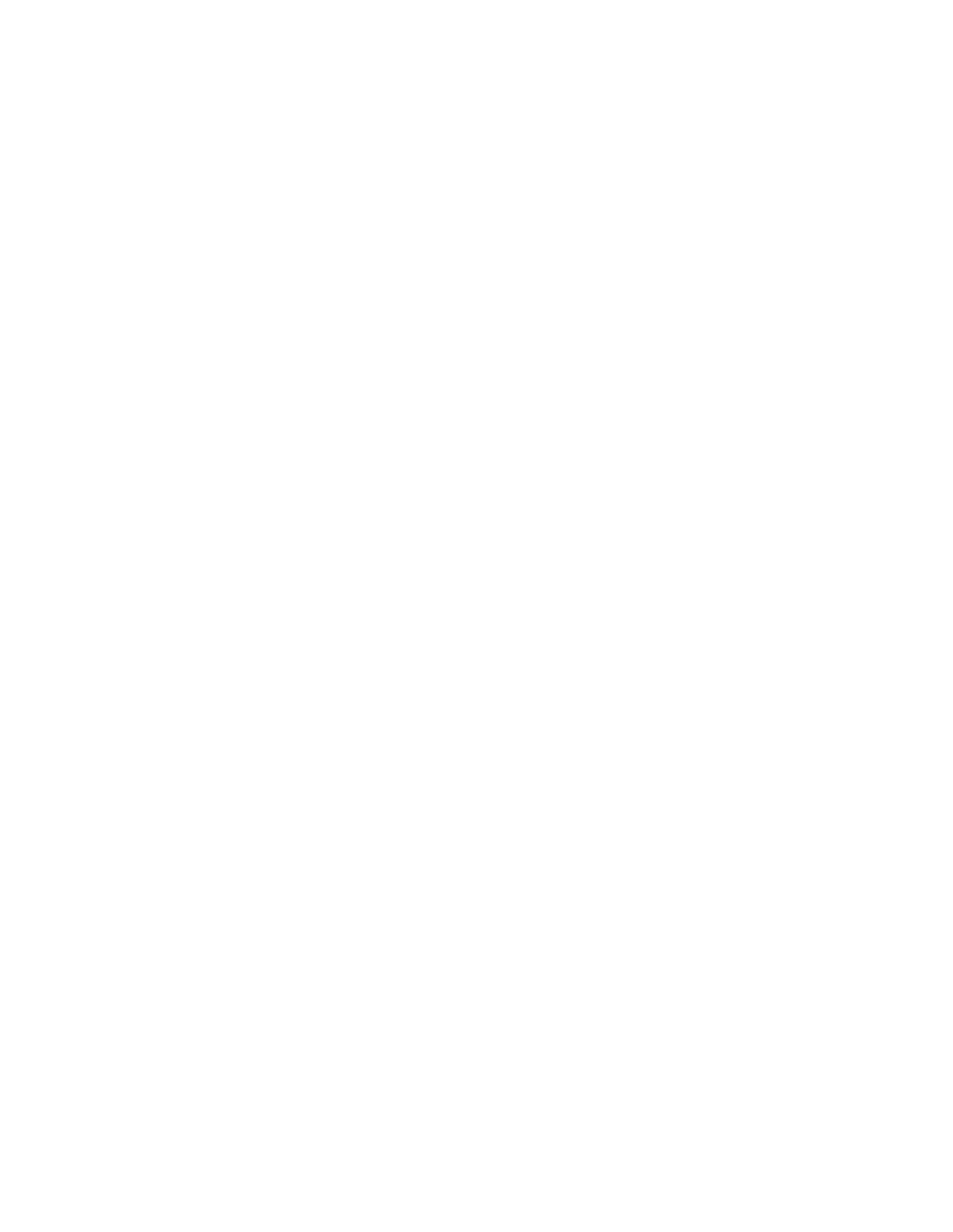## **Youth - Sweepstakes Points 2021/2022 Season Sorted by: EXHIBITOR As of 5/2/2022 - Web Only**

|                                                        | <b>Number Shown:</b>    | 10852         |
|--------------------------------------------------------|-------------------------|---------------|
|                                                        | <b>Number of Shows:</b> | 433           |
| Rank Exhibitor / State / # of Shows                    |                         | <b>Points</b> |
| 90 Agans, Mya - MI                                     | 3                       | 10            |
| 73 Aton, Patrick - LA                                  | 2                       | 98            |
| 86 Bailey, Brylie - LA                                 | 3                       | 32            |
| 32 Bozeman, Hanna - TX                                 | 7                       | 841           |
| 13 Brattlie, Hanna - WI                                | 14                      | 2909          |
| 14 Brattlie, Rylee - WI                                | 14                      | 2723          |
| 35 Brown, Jacob - GA                                   | 10                      | 639           |
| 62 Brown, Shaylee - WY                                 | 5                       | 174           |
| 69 Brown, Weston - WY                                  | 5                       | 115           |
| 18 Buatte, Morgan - IL                                 | 17                      | 1611          |
| 36 Burton, Clarissa - OK                               | 6                       | 567           |
| 19 Campbell, Evangeline - OK                           | 18                      | 1380          |
| 41 Cape, Abigail - OR                                  | 2<br>1                  | 359<br>346    |
| 42 Comp, Alexis - PA<br>26 Corgard, Wesley - MN        | 7                       | 950           |
| 44 Cosenza, Savannah - NJ                              | 12                      | 335           |
| 34 Curley, Eva - NY                                    | 4                       | 650           |
| 71 Curley, Eva & Gabriella - NY                        | 2                       | 104           |
| 64 Curley, Gabriella - NY                              | 2                       | 160           |
| 65 Dazey, Hannah - TX                                  | 6                       | 153           |
| 46 Dill, Lacey - CA                                    | 12                      | 312           |
| 11 Feia, Morgan / Trinity & Douglas - MN               | 21                      | 3150          |
| 25 Finch, Abigail - TX                                 | 41                      | 954           |
| 68 Fisher, Reese & Rory - IN                           | 3                       | 116           |
| 57 Floyd, Kali - TX                                    | 5                       | 209           |
| 79 Floyd, Karley - TX                                  | 2                       | 51            |
| 53 Floyd, Keely - TX                                   | 5                       | 263           |
| 58 Frain, Andrew - NE                                  | 4                       | 191           |
| 37 Frost, Parker - CO                                  | 10                      | 505           |
| 83 Frost, Scarlet - CO                                 | 4                       | 42            |
| 59 Gravdahl, Logan & Landon - MN                       | 6                       | 185           |
| 48 Henderson, Katy - IN                                | 5                       | 305           |
| 9 Herring, Lacey - IA                                  | 12                      | 3479          |
| 23 Hessou, Marissa - MI                                | 12                      | 1044          |
| 76 Holbert, Savannah - WA                              | 2                       | 60            |
| 80 Hood, Kassie - LA                                   | 2                       | 48            |
| 38 Hooper, Sydney - OH                                 | 6                       | 469           |
| 39 Howard, Neva - OK<br>8 Hubbard, Claire - TX         | 10                      | 409           |
| 6 Hunter, Abby - MN                                    | 28<br>20                | 4005<br>4445  |
| 78 Hutchison, Gracee - KY                              | 1                       | 54            |
| 49 James, Gibson - MI                                  | 9                       | 297           |
| 47 James, Piper - MI                                   | 9                       | 307           |
| 75 Jesko, Kinley - TX                                  | 4                       | 69            |
| 72 Jesko, Nehemiah - TX                                | 4                       | 100           |
| 5 Jones, Russell - TX                                  | 34                      | 5732          |
| 82 Kendrick, Colton - MO                               | 1                       | 45            |
| 3 King, Lauren - TX                                    | 17                      | 6816          |
| 45 Kline, Abigail - IN                                 | 4                       | 314           |
| 52 Kline, Brianna - IN                                 | 4                       | 275           |
| 12 Knutsen, Cooper - CA                                | 30                      | 2939          |
| 84 Knutsen, Emmett - CA                                | 6                       | 40            |
| 66 Kudrna, Cyndi - SD                                  | 2                       | 140           |
| 33 Landsverk, Riley - WI                               | 8                       | 712           |
| 10 Larson, Ethan - CA                                  | 32                      | 3399          |
| 63 LaRue, Lelan - TX                                   | 9                       | 173           |
| 31 Malcolm, Carter - IN                                | 19                      | 890           |
| 17 Malcolm, Chase - IN                                 | 19                      | 2075          |
| 77 Masterson, Hannah - SD<br>88 Masterson, Hunter - SD | 3<br>1                  | 58<br>19      |
|                                                        |                         |               |